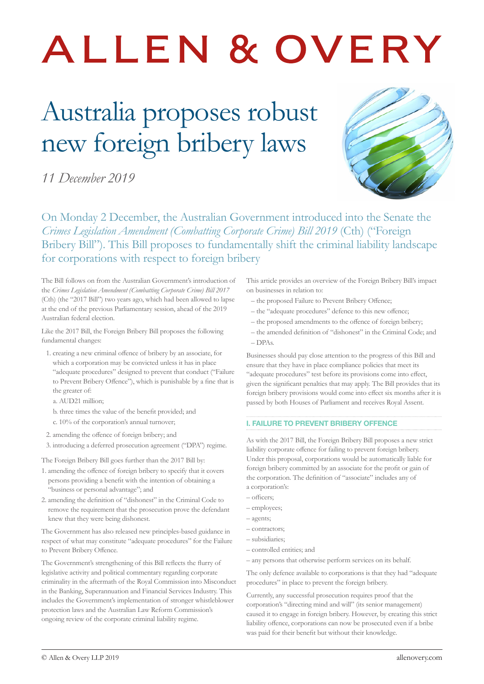# ALLEN & OVERY

## Australia proposes robust new foreign bribery laws

*11 December 2019*



On Monday 2 December, the Australian Government introduced into the Senate the *Crimes Legislation Amendment (Combatting Corporate Crime) Bill 2019* (Cth) ("Foreign Bribery Bill"). This Bill proposes to fundamentally shift the criminal liability landscape for corporations with respect to foreign bribery

#### The Bill follows on from the Australian Government's introduction of the *Crimes Legislation Amendment (Combatting Corporate Crime) Bill 2017* (Cth) (the "2017 Bill") two years ago, which had been allowed to lapse at the end of the previous Parliamentary session, ahead of the 2019 Australian federal election.

Like the 2017 Bill, the Foreign Bribery Bill proposes the following fundamental changes:

- 1. creating a new criminal offence of bribery by an associate, for which a corporation may be convicted unless it has in place "adequate procedures" designed to prevent that conduct ("Failure to Prevent Bribery Offence"), which is punishable by a fine that is the greater of:
	- a. AUD21 million;
	- b. three times the value of the benefit provided; and
	- c. 10% of the corporation's annual turnover;
- 2. amending the offence of foreign bribery; and
- 3. introducing a deferred prosecution agreement ("DPA") regime.

The Foreign Bribery Bill goes further than the 2017 Bill by:

- 1. amending the offence of foreign bribery to specify that it covers persons providing a benefit with the intention of obtaining a "business or personal advantage"; and
- 2. amending the definition of "dishonest" in the Criminal Code to remove the requirement that the prosecution prove the defendant knew that they were being dishonest.

The Government has also released new principles-based guidance in respect of what may constitute "adequate procedures" for the Failure to Prevent Bribery Offence.

The Government's strengthening of this Bill reflects the flurry of legislative activity and political commentary regarding corporate criminality in the aftermath of the Royal Commission into Misconduct in the Banking, Superannuation and Financial Services Industry. This includes the Government's implementation of stronger whistleblower protection laws and the Australian Law Reform Commission's ongoing review of the corporate criminal liability regime.

This article provides an overview of the Foreign Bribery Bill's impact on businesses in relation to:

- the proposed Failure to Prevent Bribery Offence;
- the "adequate procedures" defence to this new offence;
- the proposed amendments to the offence of foreign bribery;
- the amended definition of "dishonest" in the Criminal Code; and  $-DPAs$

Businesses should pay close attention to the progress of this Bill and ensure that they have in place compliance policies that meet its "adequate procedures" test before its provisions come into effect, given the significant penalties that may apply. The Bill provides that its foreign bribery provisions would come into effect six months after it is passed by both Houses of Parliament and receives Royal Assent.

#### I. FAILURE TO PREVENT BRIBERY OFFENCE

As with the 2017 Bill, the Foreign Bribery Bill proposes a new strict liability corporate offence for failing to prevent foreign bribery. Under this proposal, corporations would be automatically liable for foreign bribery committed by an associate for the profit or gain of the corporation. The definition of "associate" includes any of a corporation's:

- officers;
- employees;
- agents;
- contractors;
- subsidiaries;
- controlled entities; and
- any persons that otherwise perform services on its behalf.

The only defence available to corporations is that they had "adequate procedures" in place to prevent the foreign bribery.

Currently, any successful prosecution requires proof that the corporation's "directing mind and will" (its senior management) caused it to engage in foreign bribery. However, by creating this strict liability offence, corporations can now be prosecuted even if a bribe was paid for their benefit but without their knowledge.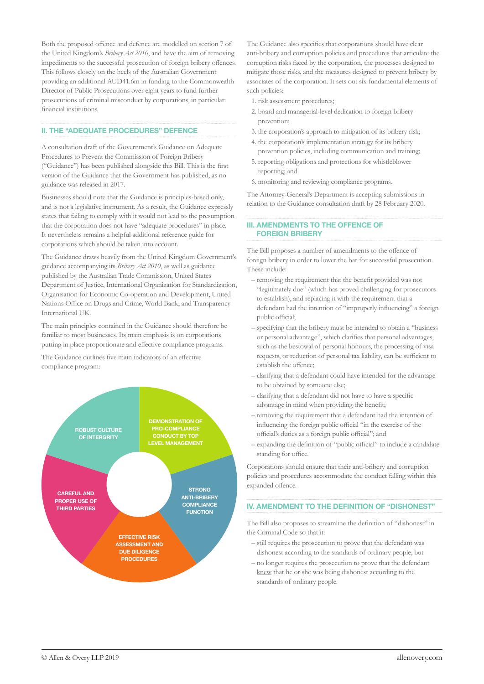Both the proposed offence and defence are modelled on section 7 of the United Kingdom's *Bribery Act 2010*, and have the aim of removing impediments to the successful prosecution of foreign bribery offences. This follows closely on the heels of the Australian Government providing an additional AUD41.6m in funding to the Commonwealth Director of Public Prosecutions over eight years to fund further prosecutions of criminal misconduct by corporations, in particular financial institutions.

#### II. THE "ADEQUATE PROCEDURES" DEFENCE

A consultation draft of the Government's Guidance on Adequate Procedures to Prevent the Commission of Foreign Bribery ("Guidance") has been published alongside this Bill. This is the first version of the Guidance that the Government has published, as no guidance was released in 2017.

Businesses should note that the Guidance is principles-based only, and is not a legislative instrument. As a result, the Guidance expressly states that failing to comply with it would not lead to the presumption that the corporation does not have "adequate procedures" in place. It nevertheless remains a helpful additional reference guide for corporations which should be taken into account.

The Guidance draws heavily from the United Kingdom Government's guidance accompanying its *Bribery Act 2010*, as well as guidance published by the Australian Trade Commission, United States Department of Justice, International Organization for Standardization, Organisation for Economic Co-operation and Development, United Nations Office on Drugs and Crime, World Bank, and Transparency International UK.

The main principles contained in the Guidance should therefore be familiar to most businesses. Its main emphasis is on corporations putting in place proportionate and effective compliance programs.

The Guidance outlines five main indicators of an effective compliance program:



The Guidance also specifies that corporations should have clear anti-bribery and corruption policies and procedures that articulate the corruption risks faced by the corporation, the processes designed to mitigate those risks, and the measures designed to prevent bribery by associates of the corporation. It sets out six fundamental elements of such policies:

- 1. risk assessment procedures;
- 2. board and managerial-level dedication to foreign bribery prevention;
- 3. the corporation's approach to mitigation of its bribery risk;
- 4. the corporation's implementation strategy for its bribery prevention policies, including communication and training;
- 5. reporting obligations and protections for whistleblower reporting; and
- 6. monitoring and reviewing compliance programs.

The Attorney-General's Department is accepting submissions in relation to the Guidance consultation draft by 28 February 2020.

#### III. AMENDMENTS TO THE OFFENCE OF FOREIGN BRIBERY

The Bill proposes a number of amendments to the offence of foreign bribery in order to lower the bar for successful prosecution. These include:

- removing the requirement that the benefit provided was not "legitimately due" (which has proved challenging for prosecutors to establish), and replacing it with the requirement that a defendant had the intention of "improperly influencing" a foreign public official;
- specifying that the bribery must be intended to obtain a "business or personal advantage", which clarifies that personal advantages, such as the bestowal of personal honours, the processing of visa requests, or reduction of personal tax liability, can be sufficient to establish the offence;
- clarifying that a defendant could have intended for the advantage to be obtained by someone else;
- clarifying that a defendant did not have to have a specific advantage in mind when providing the benefit;
- removing the requirement that a defendant had the intention of influencing the foreign public official "in the exercise of the official's duties as a foreign public official"; and
- expanding the definition of "public official" to include a candidate standing for office.

Corporations should ensure that their anti-bribery and corruption policies and procedures accommodate the conduct falling within this expanded offence.

#### IV. AMENDMENT TO THE DEFINITION OF "DISHONEST"

The Bill also proposes to streamline the definition of "dishonest" in the Criminal Code so that it:

- still requires the prosecution to prove that the defendant was dishonest according to the standards of ordinary people; but
- no longer requires the prosecution to prove that the defendant knew that he or she was being dishonest according to the standards of ordinary people.